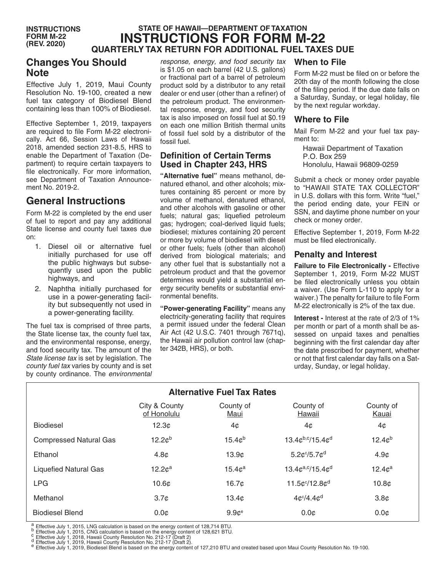#### **STATE OF HAWAII—DEPARTMENT OF TAXATION INSTRUCTIONS FOR FORM M-22 QUARTERLY TAX RETURN FOR ADDITIONAL FUEL TAXES DUE INSTRUCTIONS FORM M-22 (REV. 2020)**

## **Changes You Should Note**

Effective July 1, 2019, Maui County Resolution No. 19-100, created a new fuel tax category of Biodiesel Blend containing less than 100% of Biodiesel.

Effective September 1, 2019, taxpayers are required to file Form M-22 electronically. Act 66, Session Laws of Hawaii 2018, amended section 231-8.5, HRS to enable the Department of Taxation (Department) to require certain taxpayers to file electronically. For more information, see Department of Taxation Announcement No. 2019-2.

# **General Instructions**

Form M-22 is completed by the end user of fuel to report and pay any additional State license and county fuel taxes due on:

- 1. Diesel oil or alternative fuel initially purchased for use off the public highways but subsequently used upon the public highways, and
- 2. Naphtha initially purchased for use in a power-generating facility but subsequently not used in a power-generating facility.

The fuel tax is comprised of three parts, the State license tax, the county fuel tax, and the environmental response, energy, and food security tax. The amount of the *State license tax* is set by legislation. The *county fuel tax* varies by county and is set by county ordinance. The *environmental* 

*response, energy, and food security tax* is \$1.05 on each barrel (42 U.S. gallons) or fractional part of a barrel of petroleum product sold by a distributor to any retail dealer or end user (other than a refiner) of the petroleum product. The environmental response, energy, and food security tax is also imposed on fossil fuel at \$0.19 on each one million British thermal units of fossil fuel sold by a distributor of the fossil fuel.

#### **Definition of Certain Terms Used in Chapter 243, HRS**

**"Alternative fuel"** means methanol, denatured ethanol, and other alcohols; mixtures containing 85 percent or more by volume of methanol, denatured ethanol, and other alcohols with gasoline or other fuels; natural gas; liquefied petroleum gas; hydrogen; coal-derived liquid fuels; biodiesel; mixtures containing 20 percent or more by volume of biodiesel with diesel or other fuels; fuels (other than alcohol) derived from biological materials; and any other fuel that is substantially not a petroleum product and that the governor determines would yield a substantial energy security benefits or substantial environmental benefits.

**"Power-generating Facility"** means any electricity-generating facility that requires a permit issued under the federal Clean Air Act (42 U.S.C. 7401 through 7671q), the Hawaii air pollution control law (chapter 342B, HRS), or both.

#### **When to File**

Form M-22 must be filed on or before the 20th day of the month following the close of the filing period. If the due date falls on a Saturday, Sunday, or legal holiday, file by the next regular workday.

#### **Where to File**

Mail Form M-22 and your fuel tax payment to:

Hawaii Department of Taxation P.O. Box 259 Honolulu, Hawaii 96809-0259

Submit a check or money order payable to "HAWAII STATE TAX COLLECTOR" in U.S. dollars with this form. Write "fuel," the period ending date, your FEIN or SSN, and daytime phone number on your check or money order.

Effective September 1, 2019, Form M-22 must be filed electronically.

#### **Penalty and Interest**

**Failure to File Electronically - Effective** September 1, 2019, Form M-22 MUST be filed electronically unless you obtain a waiver. (Use Form L-110 to apply for a waiver.) The penalty for failure to file Form M-22 electronically is 2% of the tax due.

**Interest -** Interest at the rate of 2/3 of 1% per month or part of a month shall be assessed on unpaid taxes and penalties beginning with the first calendar day after the date prescribed for payment, whether or not that first calendar day falls on a Saturday, Sunday, or legal holiday.

| <b>Alternative Fuel Tax Rates</b> |                              |                    |                                         |                    |
|-----------------------------------|------------------------------|--------------------|-----------------------------------------|--------------------|
|                                   | City & County<br>of Honolulu | County of<br>Maui  | County of<br>Hawaii                     | County of<br>Kauai |
| <b>Biodiesel</b>                  | 12.3c                        | 4¢                 | 4¢                                      | 4¢                 |
| <b>Compressed Natural Gas</b>     | 12.2c <sup>b</sup>           | 15.4c <sup>b</sup> | $13.4¢^{b,c}/15.4¢^{d}$                 | 12.4c <sup>b</sup> |
| Ethanol                           | 4.8 <sub>c</sub>             | 13.9c              | $5.2$ c <sup>c</sup> /5.7c <sup>d</sup> | 4.9 <sub>c</sub>   |
| <b>Liquefied Natural Gas</b>      | 12.2c <sup>a</sup>           | 15.4c <sup>a</sup> | 13.4 $c^{a,c}$ /15.4 $c^{d}$            | 12.4c <sup>a</sup> |
| <b>LPG</b>                        | 10.6 <sub>c</sub>            | 16.7 <sub>c</sub>  | $11.5c^{c}/12.8c^{d}$                   | 10.8 <sub>c</sub>  |
| Methanol                          | 3.7 <sub>c</sub>             | 13.4 <sub>c</sub>  | $4c^{c}/4.4c^{d}$                       | 3.8 <sub>c</sub>   |
| <b>Biodiesel Blend</b>            | 0.0 <sub>c</sub>             | 9.9c <sup>e</sup>  | 0.0 <sub>c</sub>                        | $0.0\mathcal{C}$   |

a Effective July 1, 2015, LNG calculation is based on the energy content of 128,714 BTU.<br>
b Effective July 1, 2015, CNG calculation is based on the energy content of 128,621 BTU.<br>
c Effective July 1, 2018, Hawaii County R